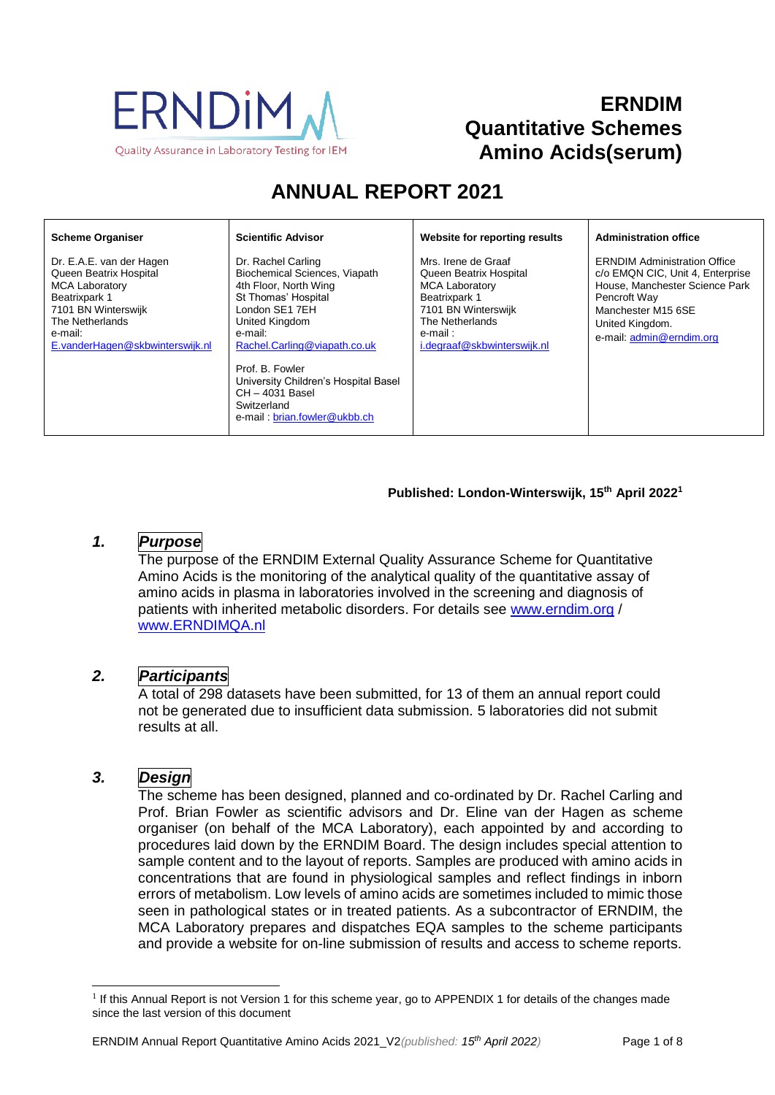

# **ERNDIM Quantitative Schemes Amino Acids(serum)**

# **ANNUAL REPORT 2021**

#### **Scheme Organiser**

Dr. E.A.E. van der Hagen Queen Beatrix Hospital MCA Laboratory Beatrixpark 1 7101 BN Winterswijk The Netherlands e-mail: [E.vanderHagen@skbwinterswijk.nl](mailto:E.vanderHagen@skbwinterswijk.nl) Dr. Rachel Carling Biochemical Sciences, Viapath 4th Floor, North Wing St Thomas' Hospital London SE1 7EH United Kingdom e-mail: [Rachel.Carling@viapath.co.uk](mailto:Rachel.Carling@viapath.co.uk)

**Scientific Advisor**

Prof. B. Fowler University Children's Hospital Basel CH – 4031 Basel **Switzerland** e-mail [: brian.fowler@ukbb.ch](mailto:brian.fowler@ukbb.ch)

#### **Website for reporting results**

Mrs. Irene de Graaf Queen Beatrix Hospital MCA Laboratory Beatrixpark 1 7101 BN Winterswijk The Netherlands e-mail : [i.degraaf@skbwinterswijk.nl](mailto:i.degraaf@skbwinterswijk.nl)

#### **Administration office**

ERNDIM Administration Office c/o EMQN CIC, Unit 4, Enterprise House, Manchester Science Park Pencroft Way Manchester M15 6SE United Kingdom. e-mail: [admin@erndim.org](mailto:admin@erndim.org)

#### **Published: London-Winterswijk, 15th April 2022 1**

# *1. Purpose*

The purpose of the ERNDIM External Quality Assurance Scheme for Quantitative Amino Acids is the monitoring of the analytical quality of the quantitative assay of amino acids in plasma in laboratories involved in the screening and diagnosis of patients with inherited metabolic disorders. For details see [www.erndim.o](http://www.erndim.unibas.ch/)rg / [www.ERNDIMQA.nl](http://www.erndimqa.nl/)

#### *2. Participants*

A total of 298 datasets have been submitted, for 13 of them an annual report could not be generated due to insufficient data submission. 5 laboratories did not submit results at all.

# *3. Design*

 $\overline{a}$ 

The scheme has been designed, planned and co-ordinated by Dr. Rachel Carling and Prof. Brian Fowler as scientific advisors and Dr. Eline van der Hagen as scheme organiser (on behalf of the MCA Laboratory), each appointed by and according to procedures laid down by the ERNDIM Board. The design includes special attention to sample content and to the layout of reports. Samples are produced with amino acids in concentrations that are found in physiological samples and reflect findings in inborn errors of metabolism. Low levels of amino acids are sometimes included to mimic those seen in pathological states or in treated patients. As a subcontractor of ERNDIM, the MCA Laboratory prepares and dispatches EQA samples to the scheme participants and provide a website for on-line submission of results and access to scheme reports.

<sup>&</sup>lt;sup>1</sup> If this Annual Report is not Version 1 for this scheme year, go to [APPENDIX 1](#page-7-0) for details of the changes made since the last version of this document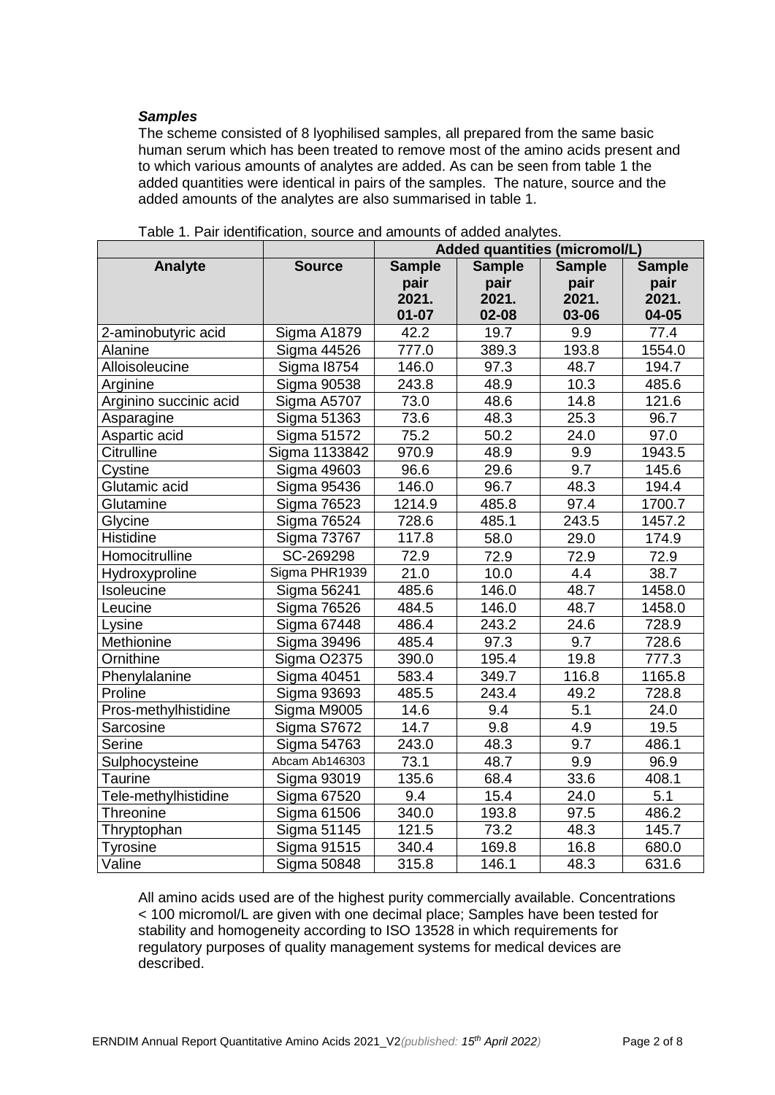#### *Samples*

The scheme consisted of 8 lyophilised samples, all prepared from the same basic human serum which has been treated to remove most of the amino acids present and to which various amounts of analytes are added. As can be seen from table 1 the added quantities were identical in pairs of the samples. The nature, source and the added amounts of the analytes are also summarised in table 1.

|                        |                    | Added quantities (micromol/L)  |                   |               |               |
|------------------------|--------------------|--------------------------------|-------------------|---------------|---------------|
| <b>Analyte</b>         | <b>Source</b>      | <b>Sample</b><br><b>Sample</b> |                   | <b>Sample</b> | <b>Sample</b> |
|                        |                    | pair                           | pair              | pair          | pair          |
|                        |                    | 2021.                          | 2021.             | 2021.         | 2021.         |
|                        |                    | $01 - 07$                      | $02 - 08$         | 03-06         | 04-05         |
| 2-aminobutyric acid    | Sigma A1879        | 42.2                           | 19.7              | 9.9           | 77.4          |
| Alanine                | Sigma 44526        | 777.0                          | 389.3             | 193.8         | 1554.0        |
| Alloisoleucine         | <b>Sigma 18754</b> | 146.0                          | 97.3              | 48.7          | 194.7         |
| Arginine               | <b>Sigma 90538</b> | 243.8                          | 48.9              | 10.3          | 485.6         |
| Arginino succinic acid | Sigma A5707        | 73.0                           | 48.6              | 14.8          | 121.6         |
| Asparagine             | Sigma 51363        | 73.6                           | 48.3              | 25.3          | 96.7          |
| Aspartic acid          | <b>Sigma 51572</b> | 75.2                           | 50.2              | 24.0          | 97.0          |
| Citrulline             | Sigma 1133842      | 970.9                          | 48.9              | 9.9           | 1943.5        |
| Cystine                | <b>Sigma 49603</b> | 96.6                           | 29.6              | 9.7           | 145.6         |
| Glutamic acid          | <b>Sigma 95436</b> | 146.0                          | 96.7              | 48.3          | 194.4         |
| Glutamine              | <b>Sigma 76523</b> | 1214.9                         | 485.8             | 97.4          | 1700.7        |
| Glycine                | <b>Sigma 76524</b> | 728.6                          | 485.1             | 243.5         | 1457.2        |
| Histidine              | <b>Sigma 73767</b> | 117.8                          | 58.0              | 29.0          | 174.9         |
| Homocitrulline         | SC-269298          | 72.9                           | 72.9              | 72.9          | 72.9          |
| Hydroxyproline         | Sigma PHR1939      | 21.0                           | 10.0              | 4.4           | 38.7          |
| Isoleucine             | Sigma 56241        | 485.6                          | 146.0             | 48.7          | 1458.0        |
| Leucine                | <b>Sigma 76526</b> | 484.5                          | 146.0             | 48.7          | 1458.0        |
| Lysine                 | Sigma 67448        | 486.4                          | 243.2             | 24.6          | 728.9         |
| Methionine             | Sigma 39496        | 485.4                          | 97.3              | 9.7           | 728.6         |
| Ornithine              | <b>Sigma O2375</b> | 390.0                          | 195.4             | 19.8          | 777.3         |
| Phenylalanine          | Sigma 40451        | 583.4                          | 349.7             | 116.8         | 1165.8        |
| Proline                | Sigma 93693        | 485.5                          | 243.4             | 49.2          | 728.8         |
| Pros-methylhistidine   | Sigma M9005        | 14.6                           | 9.4               | 5.1           | 24.0          |
| Sarcosine              | Sigma S7672        | 14.7                           | 9.8               | 4.9           | 19.5          |
| Serine                 | Sigma 54763        | 243.0                          | 48.3              | 9.7           | 486.1         |
| Sulphocysteine         | Abcam Ab146303     | 73.1                           | 48.7              | 9.9           | 96.9          |
| Taurine                | Sigma 93019        | 135.6                          | 68.4              | 33.6          | 408.1         |
| Tele-methylhistidine   | <b>Sigma 67520</b> | 9.4                            | 15.4              | 24.0          | 5.1           |
| Threonine              | Sigma 61506        | 340.0                          | 193.8             | 97.5          | 486.2         |
| Thryptophan            | Sigma 51145        | 121.5                          | $\overline{7}3.2$ | 48.3          | 145.7         |
| <b>Tyrosine</b>        | <b>Sigma 91515</b> | 340.4                          | 169.8             | 16.8          | 680.0         |
| Valine                 | <b>Sigma 50848</b> | 315.8                          | 146.1             | 48.3          | 631.6         |

Table 1. Pair identification, source and amounts of added analytes.

All amino acids used are of the highest purity commercially available. Concentrations < 100 micromol/L are given with one decimal place; Samples have been tested for stability and homogeneity according to ISO 13528 in which requirements for regulatory purposes of quality management systems for medical devices are described.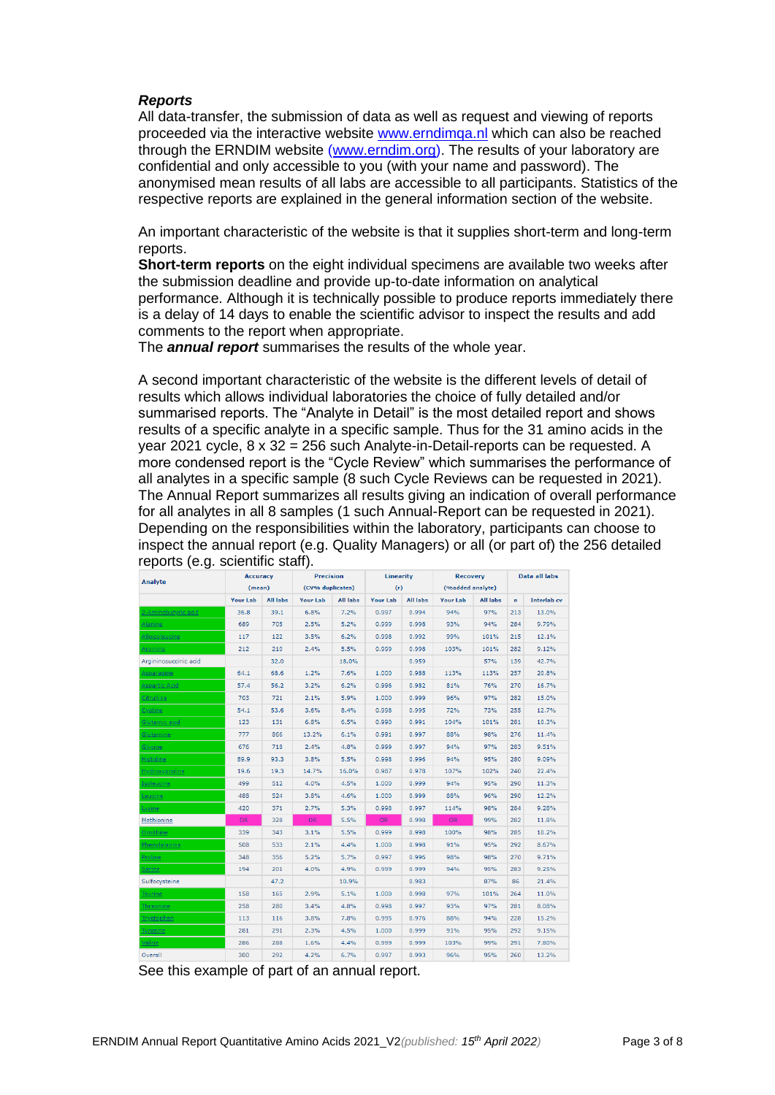#### *Reports*

All data-transfer, the submission of data as well as request and viewing of reports proceeded via the interactive website [www.erndimqa.nl](http://www.erndimqa.nl/) which can also be reached through the ERNDIM website [\(www.erndim.org\)](http://www.erndim.org/). The results of your laboratory are confidential and only accessible to you (with your name and password). The anonymised mean results of all labs are accessible to all participants. Statistics of the respective reports are explained in the general information section of the website.

An important characteristic of the website is that it supplies short-term and long-term reports.

**Short-term reports** on the eight individual specimens are available two weeks after the submission deadline and provide up-to-date information on analytical performance. Although it is technically possible to produce reports immediately there is a delay of 14 days to enable the scientific advisor to inspect the results and add comments to the report when appropriate.

The *annual report* summarises the results of the whole year.

A second important characteristic of the website is the different levels of detail of results which allows individual laboratories the choice of fully detailed and/or summarised reports. The "Analyte in Detail" is the most detailed report and shows results of a specific analyte in a specific sample. Thus for the 31 amino acids in the year 2021 cycle, 8 x 32 = 256 such Analyte-in-Detail-reports can be requested. A more condensed report is the "Cycle Review" which summarises the performance of all analytes in a specific sample (8 such Cycle Reviews can be requested in 2021). The Annual Report summarizes all results giving an indication of overall performance for all analytes in all 8 samples (1 such Annual-Report can be requested in 2021). Depending on the responsibilities within the laboratory, participants can choose to inspect the annual report (e.g. Quality Managers) or all (or part of) the 256 detailed reports (e.g. scientific staff).

| <b>Analyte</b>             | <b>Precision</b><br><b>Accuracy</b> |                 | <b>Linearity</b> |                 | <b>Recovery</b> |                 | Data all labs    |                 |              |                    |
|----------------------------|-------------------------------------|-----------------|------------------|-----------------|-----------------|-----------------|------------------|-----------------|--------------|--------------------|
|                            | (mean)                              |                 | (CV% duplicates) |                 | (r)             |                 | (%added analyte) |                 |              |                    |
|                            | <b>Your Lab</b>                     | <b>All labs</b> | <b>Your Lab</b>  | <b>All labs</b> | <b>Your Lab</b> | <b>All labs</b> | <b>Your Lab</b>  | <b>All labs</b> | $\mathbf{n}$ | <b>Interlab</b> cv |
| <u>2-Aminobutyric acid</u> | 36.8                                | 39.1            | 6.8%             | 7.2%            | 0.997           | 0.994           | 94%              | 97%             | 213          | 13.0%              |
| Alanine                    | 689                                 | 705             | 2.5%             | 5.2%            | 0.999           | 0.998           | 93%              | 94%             | 284          | 9.79%              |
| Alloisoleucine             | 117                                 | 122             | 3.5%             | 6.2%            | 0.998           | 0.992           | 99%              | 101%            | 215          | 12.1%              |
| Arginine                   | 212                                 | 210             | 2.4%             | 5.5%            | 0.999           | 0.998           | 103%             | 101%            | 282          | 9.12%              |
| Argininosuccinic acid      |                                     | 32.0            |                  | 18.0%           |                 | 0.959           |                  | 57%             | 139          | 42.7%              |
| Asparagine                 | 64.1                                | 68.6            | 1.2%             | 7.6%            | 1.000           | 0.988           | 113%             | 113%            | 257          | 20.8%              |
| Aspartic Acid              | 57.4                                | 56.2            | 3.2%             | 6.2%            | 0.996           | 0.982           | 81%              | 76%             | 270          | 16.7%              |
| Citrulline                 | 703                                 | 721             | 2.1%             | 5.9%            | 1.000           | 0.999           | 96%              | 97%             | 282          | 15.0%              |
| Cystine                    | 54.1                                | 53.6            | 3.6%             | 8.4%            | 0.998           | 0.995           | 72%              | 73%             | 255          | 12.7%              |
| Glutamic acid              | 123                                 | 131             | 6.8%             | 6.5%            | 0.990           | 0.991           | 104%             | 101%            | 281          | 10.3%              |
| Glutamine                  | 777                                 | 866             | 13.2%            | 6.1%            | 0.991           | 0.997           | 88%              | 98%             | 276          | 11.4%              |
| Glycine                    | 676                                 | 718             | 2.4%             | 4.8%            | 0.999           | 0.997           | 94%              | 97%             | 283          | 9.51%              |
| <b>Histidine</b>           | 89.9                                | 93.3            | 3.8%             | 5.5%            | 0.998           | 0.996           | 94%              | 95%             | 280          | 9.09%              |
| <b>Hydroxyproline</b>      | 19.6                                | 19.3            | 14.7%            | 16.0%           | 0.987           | 0.978           | 107%             | 102%            | 240          | 22.4%              |
| Isoleucine                 | 499                                 | 512             | 4.0%             | 4.5%            | 1.000           | 0.999           | 94%              | 95%             | 290          | 11.3%              |
| Leucine                    | 488                                 | 524             | 3.8%             | 4.6%            | 1.000           | 0.999           | 88%              | 96%             | 290          | 12.2%              |
| Lysine                     | 420                                 | 371             | 2.7%             | 5.3%            | 0.998           | 0.997           | 114%             | 98%             | 284          | 9.28%              |
| Methionine                 | OR.                                 | 328             | <b>OR</b>        | 5.5%            | OR.             | 0.998           | OR.              | 99%             | 282          | 11.8%              |
| Ornithine                  | 339                                 | 343             | 3.1%             | 5.5%            | 0.999           | 0.998           | 100%             | 98%             | 285          | 10.2%              |
| Phenylalanine              | 508                                 | 533             | 2.1%             | 4.4%            | 1.000           | 0.998           | 91%              | 95%             | 292          | 8.67%              |
| Proline                    | 348                                 | 356             | 5.2%             | 5.7%            | 0.997           | 0.996           | 98%              | 98%             | 270          | 9.71%              |
| <b>Serine</b>              | 194                                 | 201             | 4.0%             | 4.9%            | 0.999           | 0.999           | 94%              | 95%             | 283          | 9.25%              |
| Sulfocysteine              |                                     | 47.2            |                  | 10.9%           |                 | 0.983           |                  | 87%             | 86           | 21.4%              |
| <b>Taurine</b>             | 158                                 | 165             | 2.9%             | 5.1%            | 1.000           | 0.998           | 97%              | 101%            | 264          | 11.0%              |
| Threonine                  | 258                                 | 280             | 3.4%             | 4.8%            | 0.998           | 0.997           | 93%              | 97%             | 281          | 8.08%              |
| Tryptophan                 | 113                                 | 116             | 3.8%             | 7.8%            | 0.995           | 0.976           | 88%              | 94%             | 228          | 15.2%              |
| <b>Tyrosine</b>            | 281                                 | 291             | 2.3%             | 4.5%            | 1.000           | 0.999           | 91%              | 95%             | 292          | 9.15%              |
| Valine                     | 286                                 | 288             | 1.6%             | 4.4%            | 0.999           | 0.999           | 103%             | 99%             | 291          | 7.80%              |
| Overall                    | 300                                 | 292             | 4.2%             | 6.7%            | 0.997           | 0.993           | 96%              | 95%             | 260          | 13.2%              |

See this example of part of an annual report.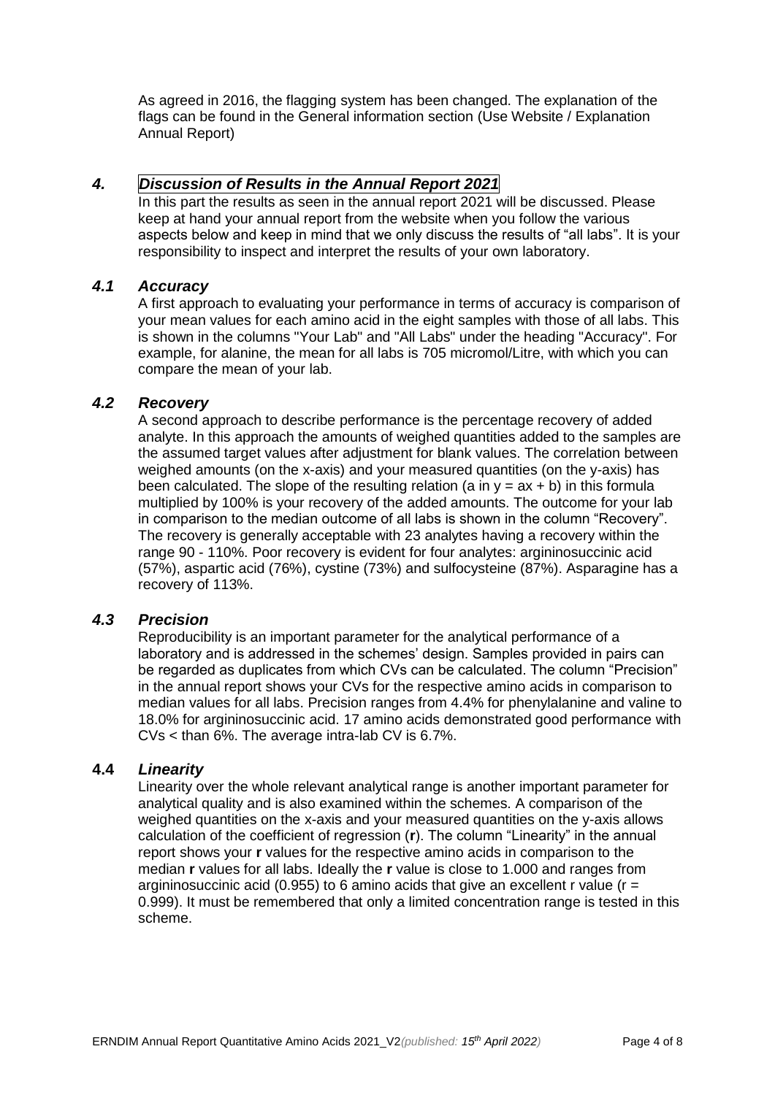As agreed in 2016, the flagging system has been changed. The explanation of the flags can be found in the General information section (Use Website / Explanation Annual Report)

### *4. Discussion of Results in the Annual Report 2021*

In this part the results as seen in the annual report 2021 will be discussed. Please keep at hand your annual report from the website when you follow the various aspects below and keep in mind that we only discuss the results of "all labs". It is your responsibility to inspect and interpret the results of your own laboratory.

#### *4.1 Accuracy*

A first approach to evaluating your performance in terms of accuracy is comparison of your mean values for each amino acid in the eight samples with those of all labs. This is shown in the columns "Your Lab" and "All Labs" under the heading "Accuracy". For example, for alanine, the mean for all labs is 705 micromol/Litre, with which you can compare the mean of your lab.

#### *4.2 Recovery*

A second approach to describe performance is the percentage recovery of added analyte. In this approach the amounts of weighed quantities added to the samples are the assumed target values after adjustment for blank values. The correlation between weighed amounts (on the x-axis) and your measured quantities (on the y-axis) has been calculated. The slope of the resulting relation (a in  $y = ax + b$ ) in this formula multiplied by 100% is your recovery of the added amounts. The outcome for your lab in comparison to the median outcome of all labs is shown in the column "Recovery". The recovery is generally acceptable with 23 analytes having a recovery within the range 90 - 110%. Poor recovery is evident for four analytes: argininosuccinic acid (57%), aspartic acid (76%), cystine (73%) and sulfocysteine (87%). Asparagine has a recovery of 113%.

### *4.3 Precision*

Reproducibility is an important parameter for the analytical performance of a laboratory and is addressed in the schemes' design. Samples provided in pairs can be regarded as duplicates from which CVs can be calculated. The column "Precision" in the annual report shows your CVs for the respective amino acids in comparison to median values for all labs. Precision ranges from 4.4% for phenylalanine and valine to 18.0% for argininosuccinic acid. 17 amino acids demonstrated good performance with CVs < than 6%. The average intra-lab CV is 6.7%.

#### **4.4** *Linearity*

Linearity over the whole relevant analytical range is another important parameter for analytical quality and is also examined within the schemes. A comparison of the weighed quantities on the x-axis and your measured quantities on the y-axis allows calculation of the coefficient of regression (**r**). The column "Linearity" in the annual report shows your **r** values for the respective amino acids in comparison to the median **r** values for all labs. Ideally the **r** value is close to 1.000 and ranges from argininosuccinic acid (0.955) to 6 amino acids that give an excellent r value ( $r =$ 0.999). It must be remembered that only a limited concentration range is tested in this scheme.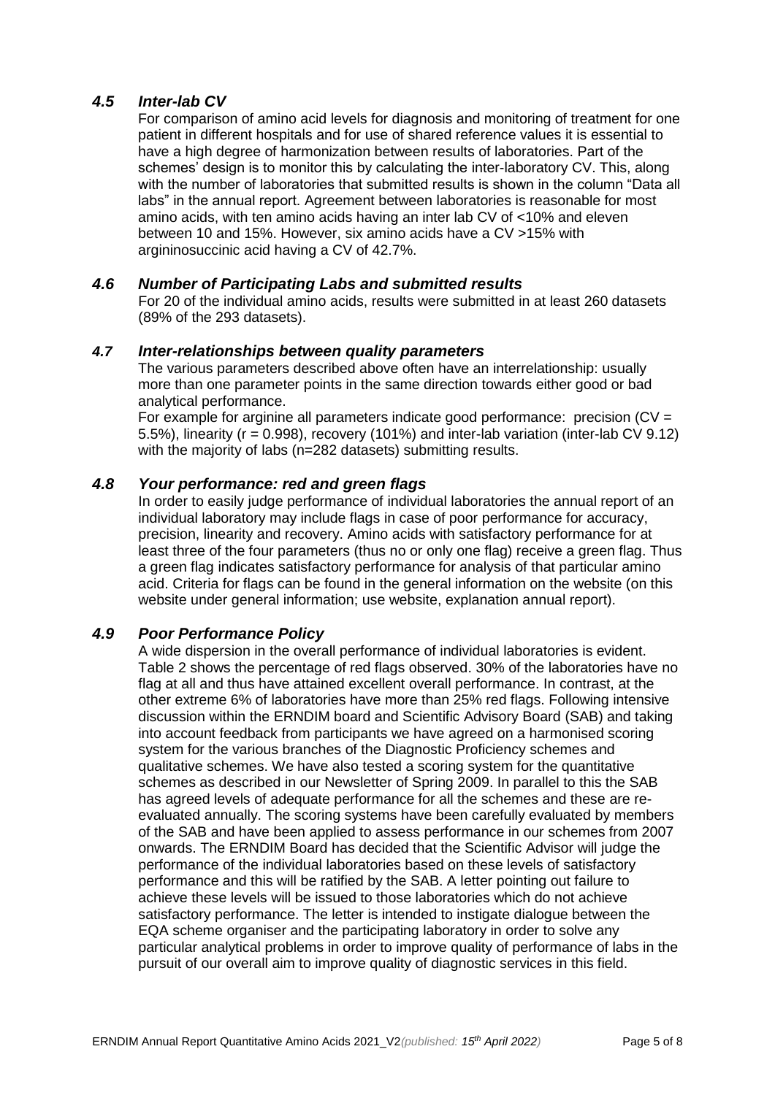### *4.5 Inter-lab CV*

For comparison of amino acid levels for diagnosis and monitoring of treatment for one patient in different hospitals and for use of shared reference values it is essential to have a high degree of harmonization between results of laboratories. Part of the schemes' design is to monitor this by calculating the inter-laboratory CV. This, along with the number of laboratories that submitted results is shown in the column "Data all labs" in the annual report. Agreement between laboratories is reasonable for most amino acids, with ten amino acids having an inter lab CV of <10% and eleven between 10 and 15%. However, six amino acids have a CV >15% with argininosuccinic acid having a CV of 42.7%.

#### *4.6 Number of Participating Labs and submitted results*

For 20 of the individual amino acids, results were submitted in at least 260 datasets (89% of the 293 datasets).

#### *4.7 Inter-relationships between quality parameters*

The various parameters described above often have an interrelationship: usually more than one parameter points in the same direction towards either good or bad analytical performance.

For example for arginine all parameters indicate good performance: precision (CV = 5.5%), linearity (r = 0.998), recovery (101%) and inter-lab variation (inter-lab CV 9.12) with the majority of labs (n=282 datasets) submitting results.

#### *4.8 Your performance: red and green flags*

In order to easily judge performance of individual laboratories the annual report of an individual laboratory may include flags in case of poor performance for accuracy, precision, linearity and recovery. Amino acids with satisfactory performance for at least three of the four parameters (thus no or only one flag) receive a green flag. Thus a green flag indicates satisfactory performance for analysis of that particular amino acid. Criteria for flags can be found in the general information on the website (on this website under general information; use website, explanation annual report).

# *4.9 Poor Performance Policy*

A wide dispersion in the overall performance of individual laboratories is evident. Table 2 shows the percentage of red flags observed. 30% of the laboratories have no flag at all and thus have attained excellent overall performance. In contrast, at the other extreme 6% of laboratories have more than 25% red flags. Following intensive discussion within the ERNDIM board and Scientific Advisory Board (SAB) and taking into account feedback from participants we have agreed on a harmonised scoring system for the various branches of the Diagnostic Proficiency schemes and qualitative schemes. We have also tested a scoring system for the quantitative schemes as described in our Newsletter of Spring 2009. In parallel to this the SAB has agreed levels of adequate performance for all the schemes and these are reevaluated annually. The scoring systems have been carefully evaluated by members of the SAB and have been applied to assess performance in our schemes from 2007 onwards. The ERNDIM Board has decided that the Scientific Advisor will judge the performance of the individual laboratories based on these levels of satisfactory performance and this will be ratified by the SAB. A letter pointing out failure to achieve these levels will be issued to those laboratories which do not achieve satisfactory performance. The letter is intended to instigate dialogue between the EQA scheme organiser and the participating laboratory in order to solve any particular analytical problems in order to improve quality of performance of labs in the pursuit of our overall aim to improve quality of diagnostic services in this field.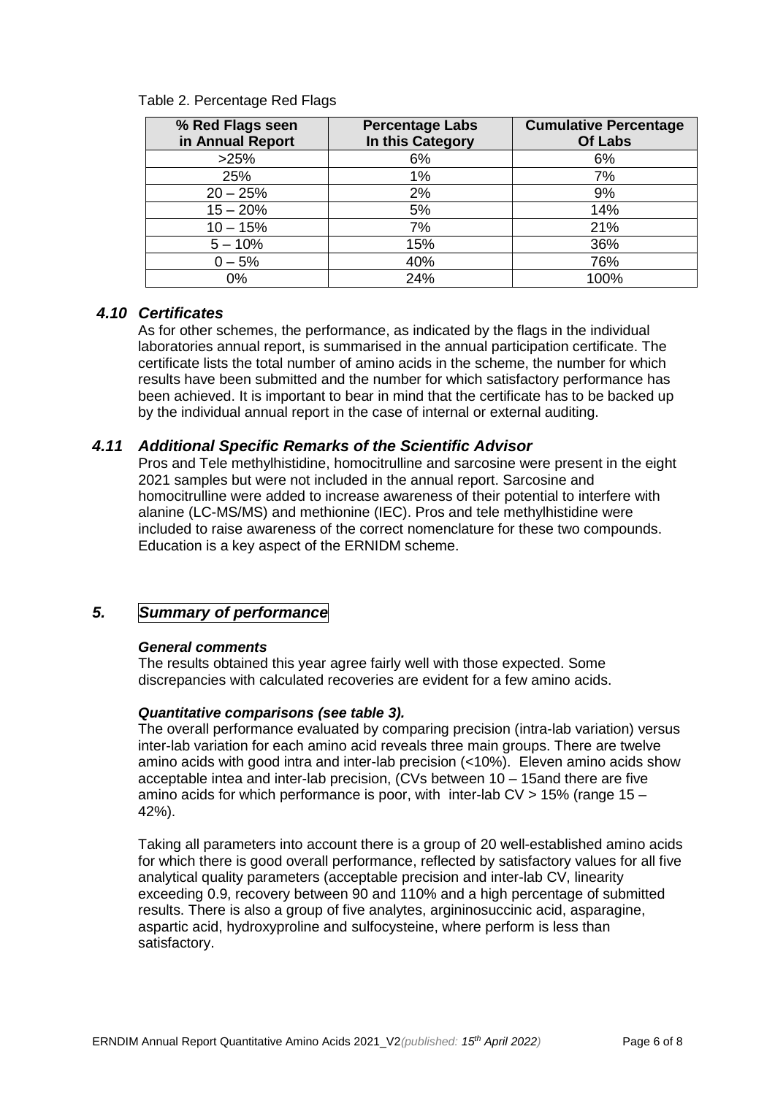| % Red Flags seen<br>in Annual Report | <b>Percentage Labs</b><br>In this Category | <b>Cumulative Percentage</b><br><b>Of Labs</b> |
|--------------------------------------|--------------------------------------------|------------------------------------------------|
| >25%                                 | 6%                                         | 6%                                             |
| 25%                                  | 1%                                         | 7%                                             |
| $20 - 25%$                           | 2%                                         | 9%                                             |
| $15 - 20%$                           | 5%                                         | 14%                                            |
| $10 - 15%$                           | 7%                                         | 21%                                            |
| $5 - 10%$                            | 15%                                        | 36%                                            |
| $0 - 5%$                             | 40%                                        | 76%                                            |
| $0\%$                                | 24%                                        | 100%                                           |

#### Table 2. Percentage Red Flags

#### *4.10 Certificates*

As for other schemes, the performance, as indicated by the flags in the individual laboratories annual report, is summarised in the annual participation certificate. The certificate lists the total number of amino acids in the scheme, the number for which results have been submitted and the number for which satisfactory performance has been achieved. It is important to bear in mind that the certificate has to be backed up by the individual annual report in the case of internal or external auditing.

#### *4.11 Additional Specific Remarks of the Scientific Advisor*

Pros and Tele methylhistidine, homocitrulline and sarcosine were present in the eight 2021 samples but were not included in the annual report. Sarcosine and homocitrulline were added to increase awareness of their potential to interfere with alanine (LC-MS/MS) and methionine (IEC). Pros and tele methylhistidine were included to raise awareness of the correct nomenclature for these two compounds. Education is a key aspect of the ERNIDM scheme.

# *5. Summary of performance*

#### *General comments*

The results obtained this year agree fairly well with those expected. Some discrepancies with calculated recoveries are evident for a few amino acids.

#### *Quantitative comparisons (see table 3).*

The overall performance evaluated by comparing precision (intra-lab variation) versus inter-lab variation for each amino acid reveals three main groups. There are twelve amino acids with good intra and inter-lab precision (<10%). Eleven amino acids show acceptable intea and inter-lab precision, (CVs between 10 – 15and there are five amino acids for which performance is poor, with inter-lab CV > 15% (range 15 – 42%).

Taking all parameters into account there is a group of 20 well-established amino acids for which there is good overall performance, reflected by satisfactory values for all five analytical quality parameters (acceptable precision and inter-lab CV, linearity exceeding 0.9, recovery between 90 and 110% and a high percentage of submitted results. There is also a group of five analytes, argininosuccinic acid, asparagine, aspartic acid, hydroxyproline and sulfocysteine, where perform is less than satisfactory.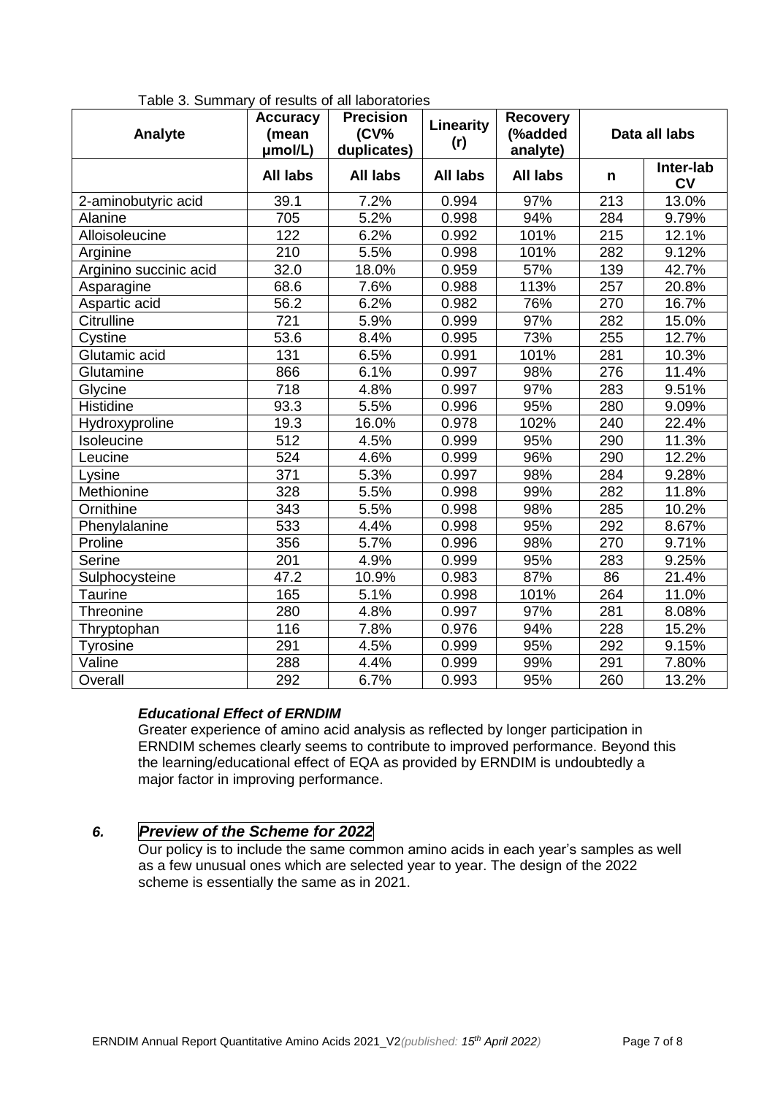| Analyte                | <b>Accuracy</b><br>(mean<br>umol/L) | <b>Precision</b><br>$(CV\%$<br>duplicates) | Linearity<br>(r) | <b>Recovery</b><br>(%added<br>analyte) | Data all labs |                        |
|------------------------|-------------------------------------|--------------------------------------------|------------------|----------------------------------------|---------------|------------------------|
|                        | <b>All labs</b>                     | <b>All labs</b>                            | <b>All labs</b>  | <b>All labs</b>                        | n             | Inter-lab<br><b>CV</b> |
| 2-aminobutyric acid    | 39.1                                | 7.2%                                       | 0.994            | 97%                                    | 213           | 13.0%                  |
| Alanine                | 705                                 | 5.2%                                       | 0.998            | 94%                                    | 284           | 9.79%                  |
| Alloisoleucine         | 122                                 | 6.2%                                       | 0.992            | 101%                                   | 215           | 12.1%                  |
| Arginine               | 210                                 | 5.5%                                       | 0.998            | 101%                                   | 282           | 9.12%                  |
| Arginino succinic acid | 32.0                                | 18.0%                                      | 0.959            | 57%                                    | 139           | 42.7%                  |
| Asparagine             | 68.6                                | 7.6%                                       | 0.988            | 113%                                   | 257           | 20.8%                  |
| Aspartic acid          | 56.2                                | 6.2%                                       | 0.982            | 76%                                    | 270           | 16.7%                  |
| Citrulline             | 721                                 | 5.9%                                       | 0.999            | 97%                                    | 282           | 15.0%                  |
| Cystine                | 53.6                                | 8.4%                                       | 0.995            | 73%                                    | 255           | 12.7%                  |
| Glutamic acid          | 131                                 | 6.5%                                       | 0.991            | 101%                                   | 281           | 10.3%                  |
| Glutamine              | 866                                 | 6.1%                                       | 0.997            | 98%                                    | 276           | 11.4%                  |
| Glycine                | 718                                 | 4.8%                                       | 0.997            | 97%                                    | 283           | 9.51%                  |
| Histidine              | 93.3                                | 5.5%                                       | 0.996            | 95%                                    | 280           | 9.09%                  |
| Hydroxyproline         | 19.3                                | 16.0%                                      | 0.978            | 102%                                   | 240           | 22.4%                  |
| Isoleucine             | 512                                 | 4.5%                                       | 0.999            | 95%                                    | 290           | 11.3%                  |
| Leucine                | 524                                 | 4.6%                                       | 0.999            | 96%                                    | 290           | 12.2%                  |
| Lysine                 | 371                                 | 5.3%                                       | 0.997            | 98%                                    | 284           | 9.28%                  |
| Methionine             | 328                                 | 5.5%                                       | 0.998            | 99%                                    | 282           | 11.8%                  |
| Ornithine              | 343                                 | 5.5%                                       | 0.998            | 98%                                    | 285           | 10.2%                  |
| Phenylalanine          | 533                                 | 4.4%                                       | 0.998            | 95%                                    | 292           | 8.67%                  |
| Proline                | 356                                 | 5.7%                                       | 0.996            | 98%                                    | 270           | 9.71%                  |
| Serine                 | 201                                 | 4.9%                                       | 0.999            | 95%                                    | 283           | 9.25%                  |
| Sulphocysteine         | 47.2                                | 10.9%                                      | 0.983            | 87%                                    | 86            | 21.4%                  |
| Taurine                | 165                                 | 5.1%                                       | 0.998            | 101%                                   | 264           | 11.0%                  |
| Threonine              | 280                                 | 4.8%                                       | 0.997            | 97%                                    | 281           | 8.08%                  |
| Thryptophan            | 116                                 | 7.8%                                       | 0.976            | 94%                                    | 228           | 15.2%                  |
| Tyrosine               | 291                                 | 4.5%                                       | 0.999            | 95%                                    | 292           | 9.15%                  |
| Valine                 | 288                                 | 4.4%                                       | 0.999            | 99%                                    | 291           | 7.80%                  |
| Overall                | 292                                 | 6.7%                                       | 0.993            | 95%                                    | 260           | 13.2%                  |

Table 3. Summary of results of all laboratories

#### *Educational Effect of ERNDIM*

Greater experience of amino acid analysis as reflected by longer participation in ERNDIM schemes clearly seems to contribute to improved performance. Beyond this the learning/educational effect of EQA as provided by ERNDIM is undoubtedly a major factor in improving performance.

# *6. Preview of the Scheme for 2022*

Our policy is to include the same common amino acids in each year's samples as well as a few unusual ones which are selected year to year. The design of the 2022 scheme is essentially the same as in 2021.